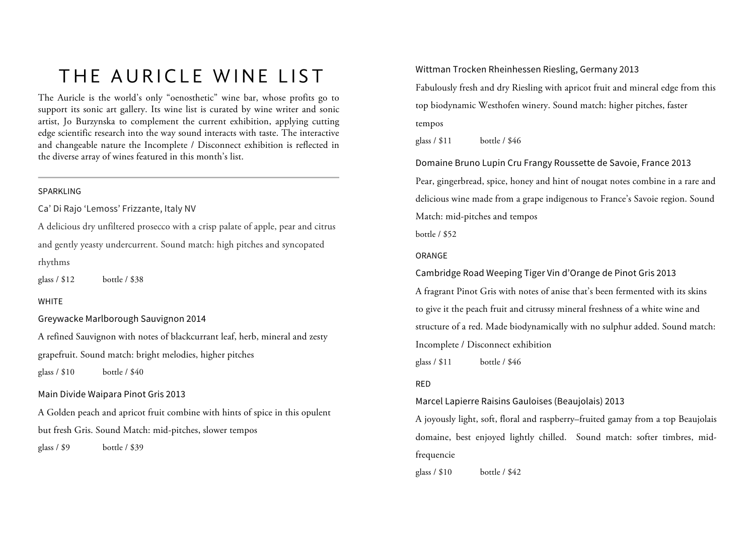# THE AURICLE WINE LIST

The Auricle is the world's only "oenosthetic" wine bar, whose profits go to support its sonic art gallery. Its wine list is curated by wine writer and sonic artist, Jo Burzynska to complement the current exhibition, applying cutting edge scientific research into the way sound interacts with taste. The interactive and changeable nature the Incomplete / Disconnect exhibition is reflected in the diverse array of wines featured in this month's list.

#### SPARKLING

Ca' Di Rajo 'Lemoss' Frizzante, Italy NV

A delicious dry unfiltered prosecco with a crisp palate of apple, pear and citrus and gently yeasty undercurrent. Sound match: high pitches and syncopated rhythms

glass / \$12 bottle / \$38

#### WHITE

Greywacke Marlborough Sauvignon 2014

A refined Sauvignon with notes of blackcurrant leaf, herb, mineral and zesty grapefruit. Sound match: bright melodies, higher pitches

glass / \$10 bottle / \$40

#### Main Divide Waipara Pinot Gris 2013

A Golden peach and apricot fruit combine with hints of spice in this opulent but fresh Gris. Sound Match: mid-pitches, slower tempos

glass / \$9 bottle / \$39

Wittman Trocken Rheinhessen Riesling, Germany 2013

Fabulously fresh and dry Riesling with apricot fruit and mineral edge from this top biodynamic Westhofen winery. Sound match: higher pitches, faster tempos

glass / \$11 bottle / \$46

Domaine Bruno Lupin Cru Frangy Roussette de Savoie, France 2013 Pear, gingerbread, spice, honey and hint of nougat notes combine in a rare and delicious wine made from a grape indigenous to France's Savoie region. Sound Match: mid-pitches and tempos

bottle / \$52

#### ORANGE

Cambridge Road Weeping Tiger Vin d'Orange de Pinot Gris 2013

A fragrant Pinot Gris with notes of anise that's been fermented with its skins to give it the peach fruit and citrussy mineral freshness of a white wine and structure of a red. Made biodynamically with no sulphur added. Sound match: Incomplete / Disconnect exhibition

glass / \$11 bottle / \$46

#### RED

Marcel Lapierre Raisins Gauloises (Beaujolais) 2013

A joyously light, soft, floral and raspberry–fruited gamay from a top Beaujolais domaine, best enjoyed lightly chilled. Sound match: softer timbres, midfrequencie

glass / \$10 bottle / \$42